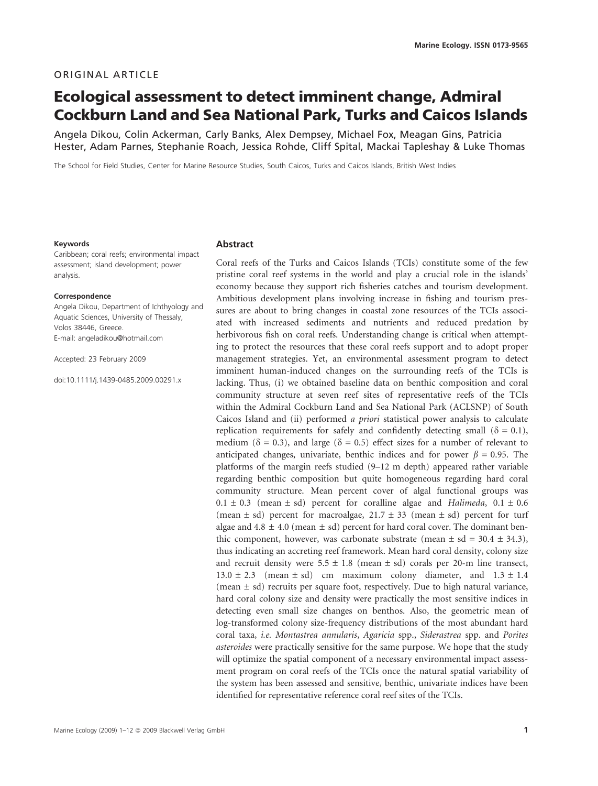# ORIGINAL ARTICLE

# Ecological assessment to detect imminent change, Admiral Cockburn Land and Sea National Park, Turks and Caicos Islands

Angela Dikou, Colin Ackerman, Carly Banks, Alex Dempsey, Michael Fox, Meagan Gins, Patricia Hester, Adam Parnes, Stephanie Roach, Jessica Rohde, Cliff Spital, Mackai Tapleshay & Luke Thomas

The School for Field Studies, Center for Marine Resource Studies, South Caicos, Turks and Caicos Islands, British West Indies

#### Keywords

Caribbean; coral reefs; environmental impact assessment; island development; power analysis.

#### Correspondence

Angela Dikou, Department of Ichthyology and Aquatic Sciences, University of Thessaly, Volos 38446, Greece. E-mail: angeladikou@hotmail.com

Accepted: 23 February 2009

doi:10.1111/j.1439-0485.2009.00291.x

### **Abstract**

Coral reefs of the Turks and Caicos Islands (TCIs) constitute some of the few pristine coral reef systems in the world and play a crucial role in the islands' economy because they support rich fisheries catches and tourism development. Ambitious development plans involving increase in fishing and tourism pressures are about to bring changes in coastal zone resources of the TCIs associated with increased sediments and nutrients and reduced predation by herbivorous fish on coral reefs. Understanding change is critical when attempting to protect the resources that these coral reefs support and to adopt proper management strategies. Yet, an environmental assessment program to detect imminent human-induced changes on the surrounding reefs of the TCIs is lacking. Thus, (i) we obtained baseline data on benthic composition and coral community structure at seven reef sites of representative reefs of the TCIs within the Admiral Cockburn Land and Sea National Park (ACLSNP) of South Caicos Island and (ii) performed a priori statistical power analysis to calculate replication requirements for safely and confidently detecting small ( $\delta = 0.1$ ), medium ( $\delta = 0.3$ ), and large ( $\delta = 0.5$ ) effect sizes for a number of relevant to anticipated changes, univariate, benthic indices and for power  $\beta = 0.95$ . The platforms of the margin reefs studied (9–12 m depth) appeared rather variable regarding benthic composition but quite homogeneous regarding hard coral community structure. Mean percent cover of algal functional groups was  $0.1 \pm 0.3$  (mean  $\pm$  sd) percent for coralline algae and Halimeda,  $0.1 \pm 0.6$ (mean  $\pm$  sd) percent for macroalgae, 21.7  $\pm$  33 (mean  $\pm$  sd) percent for turf algae and 4.8  $\pm$  4.0 (mean  $\pm$  sd) percent for hard coral cover. The dominant benthic component, however, was carbonate substrate (mean  $\pm$  sd = 30.4  $\pm$  34.3), thus indicating an accreting reef framework. Mean hard coral density, colony size and recruit density were  $5.5 \pm 1.8$  (mean  $\pm$  sd) corals per 20-m line transect,  $13.0 \pm 2.3$  (mean  $\pm$  sd) cm maximum colony diameter, and  $1.3 \pm 1.4$ (mean  $\pm$  sd) recruits per square foot, respectively. Due to high natural variance, hard coral colony size and density were practically the most sensitive indices in detecting even small size changes on benthos. Also, the geometric mean of log-transformed colony size-frequency distributions of the most abundant hard coral taxa, i.e. Montastrea annularis, Agaricia spp., Siderastrea spp. and Porites asteroides were practically sensitive for the same purpose. We hope that the study will optimize the spatial component of a necessary environmental impact assessment program on coral reefs of the TCIs once the natural spatial variability of the system has been assessed and sensitive, benthic, univariate indices have been identified for representative reference coral reef sites of the TCIs.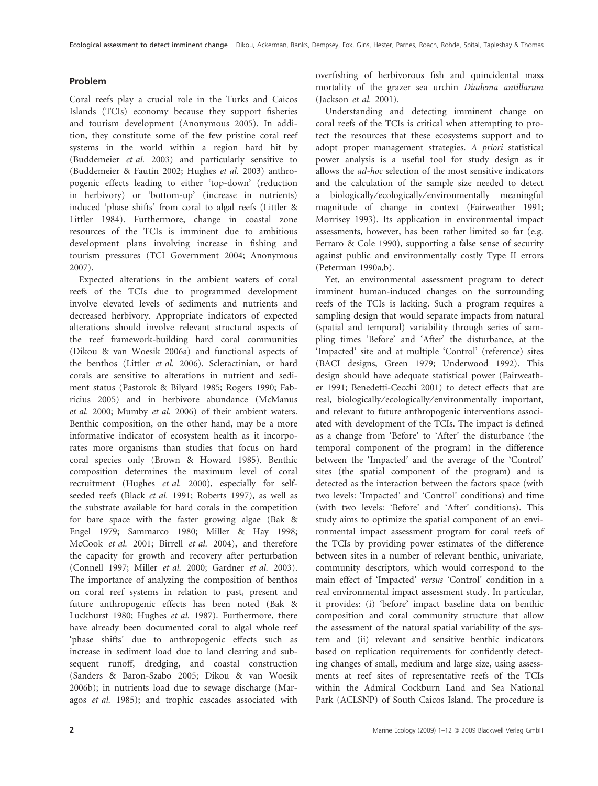## Problem

Coral reefs play a crucial role in the Turks and Caicos Islands (TCIs) economy because they support fisheries and tourism development (Anonymous 2005). In addition, they constitute some of the few pristine coral reef systems in the world within a region hard hit by (Buddemeier et al. 2003) and particularly sensitive to (Buddemeier & Fautin 2002; Hughes et al. 2003) anthropogenic effects leading to either 'top-down' (reduction in herbivory) or 'bottom-up' (increase in nutrients) induced 'phase shifts' from coral to algal reefs (Littler & Littler 1984). Furthermore, change in coastal zone resources of the TCIs is imminent due to ambitious development plans involving increase in fishing and tourism pressures (TCI Government 2004; Anonymous 2007).

Expected alterations in the ambient waters of coral reefs of the TCIs due to programmed development involve elevated levels of sediments and nutrients and decreased herbivory. Appropriate indicators of expected alterations should involve relevant structural aspects of the reef framework-building hard coral communities (Dikou & van Woesik 2006a) and functional aspects of the benthos (Littler et al. 2006). Scleractinian, or hard corals are sensitive to alterations in nutrient and sediment status (Pastorok & Bilyard 1985; Rogers 1990; Fabricius 2005) and in herbivore abundance (McManus et al. 2000; Mumby et al. 2006) of their ambient waters. Benthic composition, on the other hand, may be a more informative indicator of ecosystem health as it incorporates more organisms than studies that focus on hard coral species only (Brown & Howard 1985). Benthic composition determines the maximum level of coral recruitment (Hughes et al. 2000), especially for selfseeded reefs (Black et al. 1991; Roberts 1997), as well as the substrate available for hard corals in the competition for bare space with the faster growing algae (Bak & Engel 1979; Sammarco 1980; Miller & Hay 1998; McCook et al. 2001; Birrell et al. 2004), and therefore the capacity for growth and recovery after perturbation (Connell 1997; Miller et al. 2000; Gardner et al. 2003). The importance of analyzing the composition of benthos on coral reef systems in relation to past, present and future anthropogenic effects has been noted (Bak & Luckhurst 1980; Hughes et al. 1987). Furthermore, there have already been documented coral to algal whole reef 'phase shifts' due to anthropogenic effects such as increase in sediment load due to land clearing and subsequent runoff, dredging, and coastal construction (Sanders & Baron-Szabo 2005; Dikou & van Woesik 2006b); in nutrients load due to sewage discharge (Maragos et al. 1985); and trophic cascades associated with

overfishing of herbivorous fish and quincidental mass mortality of the grazer sea urchin Diadema antillarum (Jackson et al. 2001).

Understanding and detecting imminent change on coral reefs of the TCIs is critical when attempting to protect the resources that these ecosystems support and to adopt proper management strategies. A priori statistical power analysis is a useful tool for study design as it allows the ad-hoc selection of the most sensitive indicators and the calculation of the sample size needed to detect a biologically ⁄ ecologically ⁄ environmentally meaningful magnitude of change in context (Fairweather 1991; Morrisey 1993). Its application in environmental impact assessments, however, has been rather limited so far (e.g. Ferraro & Cole 1990), supporting a false sense of security against public and environmentally costly Type II errors (Peterman 1990a,b).

Yet, an environmental assessment program to detect imminent human-induced changes on the surrounding reefs of the TCIs is lacking. Such a program requires a sampling design that would separate impacts from natural (spatial and temporal) variability through series of sampling times 'Before' and 'After' the disturbance, at the 'Impacted' site and at multiple 'Control' (reference) sites (BACI designs, Green 1979; Underwood 1992). This design should have adequate statistical power (Fairweather 1991; Benedetti-Cecchi 2001) to detect effects that are real, biologically/ecologically/environmentally important, and relevant to future anthropogenic interventions associated with development of the TCIs. The impact is defined as a change from 'Before' to 'After' the disturbance (the temporal component of the program) in the difference between the 'Impacted' and the average of the 'Control' sites (the spatial component of the program) and is detected as the interaction between the factors space (with two levels: 'Impacted' and 'Control' conditions) and time (with two levels: 'Before' and 'After' conditions). This study aims to optimize the spatial component of an environmental impact assessment program for coral reefs of the TCIs by providing power estimates of the difference between sites in a number of relevant benthic, univariate, community descriptors, which would correspond to the main effect of 'Impacted' versus 'Control' condition in a real environmental impact assessment study. In particular, it provides: (i) 'before' impact baseline data on benthic composition and coral community structure that allow the assessment of the natural spatial variability of the system and (ii) relevant and sensitive benthic indicators based on replication requirements for confidently detecting changes of small, medium and large size, using assessments at reef sites of representative reefs of the TCIs within the Admiral Cockburn Land and Sea National Park (ACLSNP) of South Caicos Island. The procedure is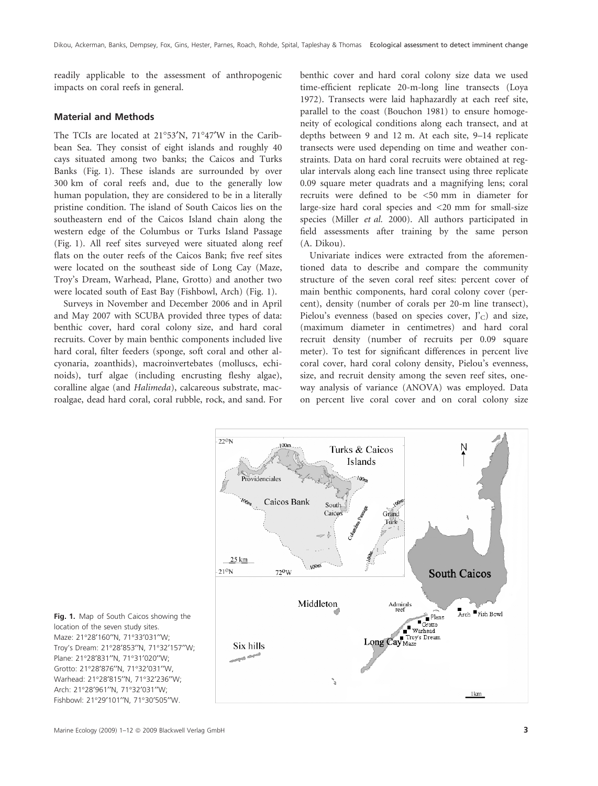readily applicable to the assessment of anthropogenic impacts on coral reefs in general.

# Material and Methods

The TCIs are located at  $21^{\circ}53'N$ ,  $71^{\circ}47'W$  in the Caribbean Sea. They consist of eight islands and roughly 40 cays situated among two banks; the Caicos and Turks Banks (Fig. 1). These islands are surrounded by over 300 km of coral reefs and, due to the generally low human population, they are considered to be in a literally pristine condition. The island of South Caicos lies on the southeastern end of the Caicos Island chain along the western edge of the Columbus or Turks Island Passage (Fig. 1). All reef sites surveyed were situated along reef flats on the outer reefs of the Caicos Bank; five reef sites were located on the southeast side of Long Cay (Maze, Troy's Dream, Warhead, Plane, Grotto) and another two were located south of East Bay (Fishbowl, Arch) (Fig. 1).

Surveys in November and December 2006 and in April and May 2007 with SCUBA provided three types of data: benthic cover, hard coral colony size, and hard coral recruits. Cover by main benthic components included live hard coral, filter feeders (sponge, soft coral and other alcyonaria, zoanthids), macroinvertebates (molluscs, echinoids), turf algae (including encrusting fleshy algae), coralline algae (and Halimeda), calcareous substrate, macroalgae, dead hard coral, coral rubble, rock, and sand. For benthic cover and hard coral colony size data we used time-efficient replicate 20-m-long line transects (Loya 1972). Transects were laid haphazardly at each reef site, parallel to the coast (Bouchon 1981) to ensure homogeneity of ecological conditions along each transect, and at depths between 9 and 12 m. At each site, 9–14 replicate transects were used depending on time and weather constraints. Data on hard coral recruits were obtained at regular intervals along each line transect using three replicate 0.09 square meter quadrats and a magnifying lens; coral recruits were defined to be <50 mm in diameter for large-size hard coral species and <20 mm for small-size species (Miller et al. 2000). All authors participated in field assessments after training by the same person (A. Dikou).

Univariate indices were extracted from the aforementioned data to describe and compare the community structure of the seven coral reef sites: percent cover of main benthic components, hard coral colony cover (percent), density (number of corals per 20-m line transect), Pielou's evenness (based on species cover,  $J'_{C}$ ) and size, (maximum diameter in centimetres) and hard coral recruit density (number of recruits per 0.09 square meter). To test for significant differences in percent live coral cover, hard coral colony density, Pielou's evenness, size, and recruit density among the seven reef sites, oneway analysis of variance (ANOVA) was employed. Data on percent live coral cover and on coral colony size



Fig. 1. Map of South Caicos showing the location of the seven study sites. Maze: 21°28'160''N, 71°33'031''W; Troy's Dream: 21°28'853''N, 71°32'157''W; Plane: 21°28'831"N, 71°31'020"W; Grotto: 21°28'876"N, 71°32'031"W, Warhead: 21°28'815''N, 71°32'236''W; Arch: 21°28'961''N, 71°32'031''W; Fishbowl: 21°29'101"N, 71°30'505"W.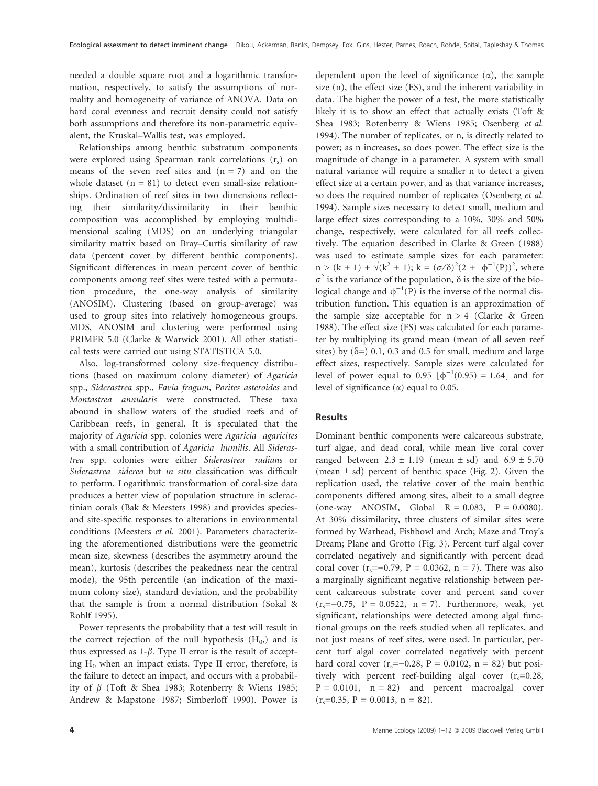needed a double square root and a logarithmic transformation, respectively, to satisfy the assumptions of normality and homogeneity of variance of ANOVA. Data on hard coral evenness and recruit density could not satisfy both assumptions and therefore its non-parametric equivalent, the Kruskal–Wallis test, was employed.

Relationships among benthic substratum components were explored using Spearman rank correlations  $(r_s)$  on means of the seven reef sites and  $(n = 7)$  and on the whole dataset  $(n = 81)$  to detect even small-size relationships. Ordination of reef sites in two dimensions reflecting their similarity ⁄ dissimilarity in their benthic composition was accomplished by employing multidimensional scaling (MDS) on an underlying triangular similarity matrix based on Bray–Curtis similarity of raw data (percent cover by different benthic components). Significant differences in mean percent cover of benthic components among reef sites were tested with a permutation procedure, the one-way analysis of similarity (ANOSIM). Clustering (based on group-average) was used to group sites into relatively homogeneous groups. MDS, ANOSIM and clustering were performed using PRIMER 5.0 (Clarke & Warwick 2001). All other statistical tests were carried out using STATISTICA 5.0.

Also, log-transformed colony size-frequency distributions (based on maximum colony diameter) of Agaricia spp., Siderastrea spp., Favia fragum, Porites asteroides and Montastrea annularis were constructed. These taxa abound in shallow waters of the studied reefs and of Caribbean reefs, in general. It is speculated that the majority of Agaricia spp. colonies were Agaricia agaricites with a small contribution of Agaricia humilis. All Siderastrea spp. colonies were either Siderastrea radians or Siderastrea siderea but in situ classification was difficult to perform. Logarithmic transformation of coral-size data produces a better view of population structure in scleractinian corals (Bak & Meesters 1998) and provides speciesand site-specific responses to alterations in environmental conditions (Meesters et al. 2001). Parameters characterizing the aforementioned distributions were the geometric mean size, skewness (describes the asymmetry around the mean), kurtosis (describes the peakedness near the central mode), the 95th percentile (an indication of the maximum colony size), standard deviation, and the probability that the sample is from a normal distribution (Sokal & Rohlf 1995).

Power represents the probability that a test will result in the correct rejection of the null hypothesis  $(H_0)$  and is thus expressed as  $1-\beta$ . Type II error is the result of accepting  $H_0$  when an impact exists. Type II error, therefore, is the failure to detect an impact, and occurs with a probability of  $\beta$  (Toft & Shea 1983; Rotenberry & Wiens 1985; Andrew & Mapstone 1987; Simberloff 1990). Power is dependent upon the level of significance  $(\alpha)$ , the sample size (n), the effect size (ES), and the inherent variability in data. The higher the power of a test, the more statistically likely it is to show an effect that actually exists (Toft & Shea 1983; Rotenberry & Wiens 1985; Osenberg et al. 1994). The number of replicates, or n, is directly related to power; as n increases, so does power. The effect size is the magnitude of change in a parameter. A system with small natural variance will require a smaller n to detect a given effect size at a certain power, and as that variance increases, so does the required number of replicates (Osenberg et al. 1994). Sample sizes necessary to detect small, medium and large effect sizes corresponding to a 10%, 30% and 50% change, respectively, were calculated for all reefs collectively. The equation described in Clarke & Green (1988) was used to estimate sample sizes for each parameter:  $n > (k + 1) + \sqrt{(k^2 + 1)}$ ;  $k = (\sigma/\delta)^2 (2 + \phi^{-1}(P))^2$ , where  $\sigma^2$  is the variance of the population,  $\delta$  is the size of the biological change and  $\phi^{-1}(P)$  is the inverse of the normal distribution function. This equation is an approximation of the sample size acceptable for  $n > 4$  (Clarke & Green 1988). The effect size (ES) was calculated for each parameter by multiplying its grand mean (mean of all seven reef sites) by  $(\delta=)$  0.1, 0.3 and 0.5 for small, medium and large effect sizes, respectively. Sample sizes were calculated for level of power equal to 0.95  $[\phi^{-1}(0.95) = 1.64]$  and for level of significance  $(\alpha)$  equal to 0.05.

# Results

Dominant benthic components were calcareous substrate, turf algae, and dead coral, while mean live coral cover ranged between  $2.3 \pm 1.19$  (mean  $\pm$  sd) and  $6.9 \pm 5.70$ (mean  $\pm$  sd) percent of benthic space (Fig. 2). Given the replication used, the relative cover of the main benthic components differed among sites, albeit to a small degree (one-way ANOSIM, Global  $R = 0.083$ ,  $P = 0.0080$ ). At 30% dissimilarity, three clusters of similar sites were formed by Warhead, Fishbowl and Arch; Maze and Troy's Dream; Plane and Grotto (Fig. 3). Percent turf algal cover correlated negatively and significantly with percent dead coral cover  $(r_s=-0.79, P = 0.0362, n = 7)$ . There was also a marginally significant negative relationship between percent calcareous substrate cover and percent sand cover  $(r_s=-0.75, P = 0.0522, n = 7)$ . Furthermore, weak, yet significant, relationships were detected among algal functional groups on the reefs studied when all replicates, and not just means of reef sites, were used. In particular, percent turf algal cover correlated negatively with percent hard coral cover  $(r_s=-0.28, P = 0.0102, n = 82)$  but positively with percent reef-building algal cover  $(r_s=0.28,$  $P = 0.0101$ ,  $n = 82$ ) and percent macroalgal cover  $(r_s=0.35, P = 0.0013, n = 82).$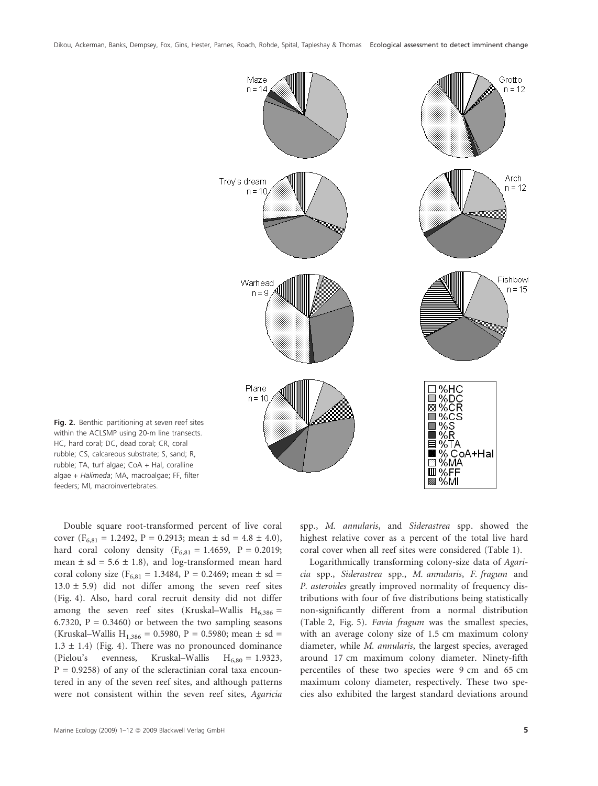Dikou, Ackerman, Banks, Dempsey, Fox, Gins, Hester, Parnes, Roach, Rohde, Spital, Tapleshay & Thomas Ecological assessment to detect imminent change



Fig. 2. Benthic partitioning at seven reef sites within the ACLSMP using 20-m line transects. HC, hard coral; DC, dead coral; CR, coral rubble; CS, calcareous substrate; S, sand; R, rubble; TA, turf algae; CoA + Hal, coralline algae + Halimeda; MA, macroalgae; FF, filter feeders; MI, macroinvertebrates.

Double square root-transformed percent of live coral cover ( $F_{6,81} = 1.2492$ ,  $P = 0.2913$ ; mean  $\pm$  sd = 4.8  $\pm$  4.0), hard coral colony density ( $F_{6,81} = 1.4659$ ,  $P = 0.2019$ ; mean  $\pm$  sd = 5.6  $\pm$  1.8), and log-transformed mean hard coral colony size ( $F_{6,81} = 1.3484$ ,  $P = 0.2469$ ; mean  $\pm$  sd =  $13.0 \pm 5.9$ ) did not differ among the seven reef sites (Fig. 4). Also, hard coral recruit density did not differ among the seven reef sites (Kruskal–Wallis  $H_{6,386}$  = 6.7320,  $P = 0.3460$  or between the two sampling seasons (Kruskal–Wallis H<sub>1,386</sub> = 0.5980, P = 0.5980; mean  $\pm$  sd =  $1.3 \pm 1.4$ ) (Fig. 4). There was no pronounced dominance (Pielou's evenness, Kruskal–Wallis  $H_{6,80} = 1.9323$ ,  $P = 0.9258$ ) of any of the scleractinian coral taxa encountered in any of the seven reef sites, and although patterns were not consistent within the seven reef sites, Agaricia spp., M. annularis, and Siderastrea spp. showed the highest relative cover as a percent of the total live hard coral cover when all reef sites were considered (Table 1).

Logarithmically transforming colony-size data of Agaricia spp., Siderastrea spp., M. annularis, F. fragum and P. asteroides greatly improved normality of frequency distributions with four of five distributions being statistically non-significantly different from a normal distribution (Table 2, Fig. 5). Favia fragum was the smallest species, with an average colony size of 1.5 cm maximum colony diameter, while M. annularis, the largest species, averaged around 17 cm maximum colony diameter. Ninety-fifth percentiles of these two species were 9 cm and 65 cm maximum colony diameter, respectively. These two species also exhibited the largest standard deviations around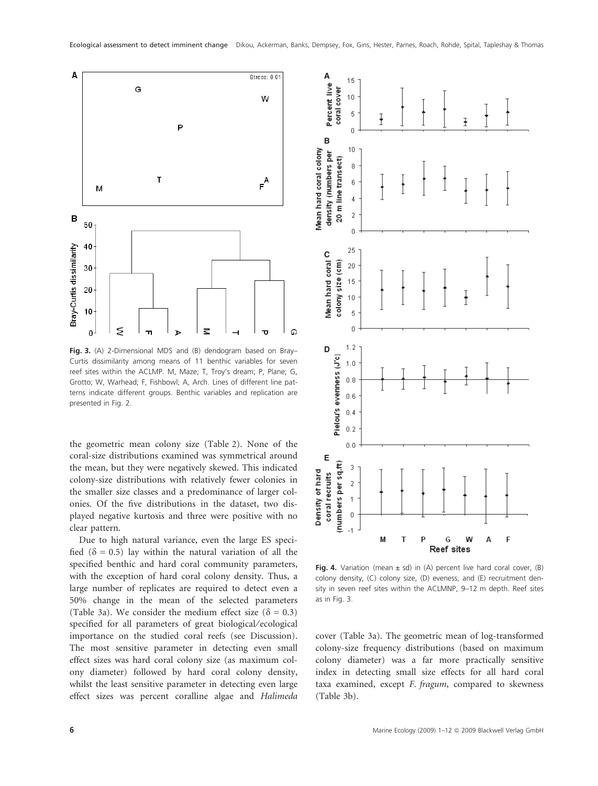

Fig. 3. (A) 2-Dimensional MDS and (B) dendogram based on Bray-Curtis dissimilarity among means of 11 benthic variables for seven reef sites within the ACLMP. M, Maze; T, Troy's dream; P, Plane; G, Grotto; W, Warhead; F, Fishbowl; A, Arch. Lines of different line patterns indicate different groups. Benthic variables and replication are presented in Fig. 2.

the geometric mean colony size (Table 2). None of the coral-size distributions examined was symmetrical around the mean, but they were negatively skewed. This indicated colony-size distributions with relatively fewer colonies in the smaller size classes and a predominance of larger colonies. Of the five distributions in the dataset, two displayed negative kurtosis and three were positive with no clear pattern.

Due to high natural variance, even the large ES specified ( $\delta = 0.5$ ) lay within the natural variation of all the specified benthic and hard coral community parameters, with the exception of hard coral colony density. Thus, a large number of replicates are required to detect even a 50% change in the mean of the selected parameters (Table 3a). We consider the medium effect size ( $\delta = 0.3$ ) specified for all parameters of great biological/ecological importance on the studied coral reefs (see Discussion). The most sensitive parameter in detecting even small effect sizes was hard coral colony size (as maximum colony diameter) followed by hard coral colony density, whilst the least sensitive parameter in detecting even large effect sizes was percent coralline algae and Halimeda



Fig. 4. Variation (mean  $\pm$  sd) in (A) percent live hard coral cover, (B) colony density, (C) colony size, (D) eveness, and (E) recruitment density in seven reef sites within the ACLMNP, 9–12 m depth. Reef sites as in Fig. 3.

cover (Table 3a). The geometric mean of log-transformed colony-size frequency distributions (based on maximum colony diameter) was a far more practically sensitive index in detecting small size effects for all hard coral taxa examined, except F. fragum, compared to skewness (Table 3b).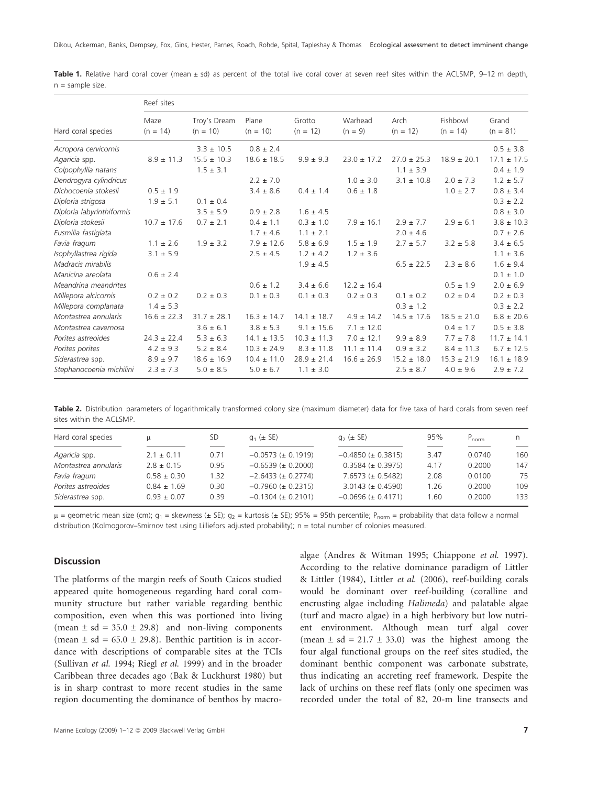|                           | Reef sites         |                            |                     |                      |                      |                    |                        |                     |  |  |
|---------------------------|--------------------|----------------------------|---------------------|----------------------|----------------------|--------------------|------------------------|---------------------|--|--|
| Hard coral species        | Maze<br>$(n = 14)$ | Troy's Dream<br>$(n = 10)$ | Plane<br>$(n = 10)$ | Grotto<br>$(n = 12)$ | Warhead<br>$(n = 9)$ | Arch<br>$(n = 12)$ | Fishbowl<br>$(n = 14)$ | Grand<br>$(n = 81)$ |  |  |
| Acropora cervicornis      |                    | $3.3 \pm 10.5$             | $0.8 \pm 2.4$       |                      |                      |                    |                        | $0.5 \pm 3.8$       |  |  |
| Agaricia spp.             | $8.9 \pm 11.3$     | $15.5 \pm 10.3$            | $18.6 \pm 18.5$     | $9.9 \pm 9.3$        | $23.0 \pm 17.2$      | $27.0 \pm 25.3$    | $18.9 \pm 20.1$        | $17.1 \pm 17.5$     |  |  |
| Colpophyllia natans       |                    | $1.5 \pm 3.1$              |                     |                      |                      | $1.1 \pm 3.9$      |                        | $0.4 \pm 1.9$       |  |  |
| Dendrogyra cylindricus    |                    |                            | $2.2 \pm 7.0$       |                      | $1.0 \pm 3.0$        | $3.1 \pm 10.8$     | $2.0 \pm 7.3$          | $1.2 \pm 5.7$       |  |  |
| Dichocoenia stokesii      | $0.5 \pm 1.9$      |                            | $3.4 \pm 8.6$       | $0.4 \pm 1.4$        | $0.6 \pm 1.8$        |                    | $1.0 \pm 2.7$          | $0.8 \pm 3.4$       |  |  |
| Diploria strigosa         | $1.9 \pm 5.1$      | $0.1 \pm 0.4$              |                     |                      |                      |                    |                        | $0.3 \pm 2.2$       |  |  |
| Diploria labyrinthiformis |                    | $3.5 \pm 5.9$              | $0.9 \pm 2.8$       | $1.6 \pm 4.5$        |                      |                    |                        | $0.8 \pm 3.0$       |  |  |
| Diploria stokesii         | $10.7 \pm 17.6$    | $0.7 \pm 2.1$              | $0.4 \pm 1.1$       | $0.3 \pm 1.0$        | $7.9 \pm 16.1$       | $2.9 \pm 7.7$      | $2.9 \pm 6.1$          | $3.8 \pm 10.3$      |  |  |
| Eusmilia fastigiata       |                    |                            | $1.7 \pm 4.6$       | $1.1 \pm 2.1$        |                      | $2.0 \pm 4.6$      |                        | $0.7 \pm 2.6$       |  |  |
| Favia fragum              | $1.1 \pm 2.6$      | $1.9 \pm 3.2$              | $7.9 \pm 12.6$      | $5.8 \pm 6.9$        | $1.5 \pm 1.9$        | $2.7 \pm 5.7$      | $3.2 \pm 5.8$          | $3.4 \pm 6.5$       |  |  |
| Isophyllastrea rigida     | $3.1 \pm 5.9$      |                            | $2.5 \pm 4.5$       | $1.2 \pm 4.2$        | $1.2 \pm 3.6$        |                    |                        | $1.1 \pm 3.6$       |  |  |
| Madracis mirabilis        |                    |                            |                     | $1.9 \pm 4.5$        |                      | $6.5 \pm 22.5$     | $2.3 \pm 8.6$          | $1.6 \pm 9.4$       |  |  |
| Manicina areolata         | $0.6 \pm 2.4$      |                            |                     |                      |                      |                    |                        | $0.1 \pm 1.0$       |  |  |
| Meandrina meandrites      |                    |                            | $0.6 \pm 1.2$       | $3.4 \pm 6.6$        | $12.2 \pm 16.4$      |                    | $0.5 \pm 1.9$          | $2.0 \pm 6.9$       |  |  |
| Millepora alcicornis      | $0.2 \pm 0.2$      | $0.2 \pm 0.3$              | $0.1 \pm 0.3$       | $0.1 \pm 0.3$        | $0.2 \pm 0.3$        | $0.1 \pm 0.2$      | $0.2 \pm 0.4$          | $0.2 \pm 0.3$       |  |  |
| Millepora complanata      | $1.4 \pm 5.3$      |                            |                     |                      |                      | $0.3 \pm 1.2$      |                        | $0.3 \pm 2.2$       |  |  |
| Montastrea annularis      | $16.6 \pm 22.3$    | $31.7 \pm 28.1$            | $16.3 \pm 14.7$     | $14.1 \pm 18.7$      | $4.9 \pm 14.2$       | $14.5 \pm 17.6$    | $18.5 \pm 21.0$        | $6.8 \pm 20.6$      |  |  |
| Montastrea cavernosa      |                    | $3.6 \pm 6.1$              | $3.8 \pm 5.3$       | $9.1 \pm 15.6$       | $7.1 \pm 12.0$       |                    | $0.4 \pm 1.7$          | $0.5 \pm 3.8$       |  |  |
| Porites astreoides        | $24.3 \pm 22.4$    | $5.3 \pm 6.3$              | $14.1 \pm 13.5$     | $10.3 \pm 11.3$      | $7.0 \pm 12.1$       | $9.9 \pm 8.9$      | $7.7 \pm 7.8$          | $11.7 \pm 14.1$     |  |  |
| Porites porites           | $4.2 \pm 9.3$      | $5.2 \pm 8.4$              | $10.3 \pm 24.9$     | $8.3 \pm 11.8$       | $11.1 \pm 11.4$      | $0.9 \pm 3.2$      | $8.4 \pm 11.3$         | $6.7 \pm 12.5$      |  |  |
| Siderastrea spp.          | $8.9 \pm 9.7$      | $18.6 \pm 16.9$            | $10.4 \pm 11.0$     | $28.9 \pm 21.4$      | $16.6 \pm 26.9$      | $15.2 \pm 18.0$    | $15.3 \pm 21.9$        | $16.1 \pm 18.9$     |  |  |
| Stephanocoenia michilini  | $2.3 \pm 7.3$      | $5.0 \pm 8.5$              | $5.0 \pm 6.7$       | $1.1 \pm 3.0$        |                      | $2.5 \pm 8.7$      | $4.0 \pm 9.6$          | $2.9 \pm 7.2$       |  |  |

Table 1. Relative hard coral cover (mean ± sd) as percent of the total live coral cover at seven reef sites within the ACLSMP, 9-12 m depth, n = sample size.

Table 2. Distribution parameters of logarithmically transformed colony size (maximum diameter) data for five taxa of hard corals from seven reef sites within the ACLSMP.

| Hard coral species   | u               | SD   | $q_1 (\pm 5E)$           | $q_2 (\pm 5E)$           | 95%  | $P_{norm}$ |     |
|----------------------|-----------------|------|--------------------------|--------------------------|------|------------|-----|
| Agaricia spp.        | $2.1 \pm 0.11$  | 0.71 | $-0.0573 \ (\pm 0.1919)$ | $-0.4850 \ (\pm 0.3815)$ | 3.47 | 0.0740     | 160 |
| Montastrea annularis | $2.8 \pm 0.15$  | 0.95 | $-0.6539 \ (\pm 0.2000)$ | $0.3584 \ (\pm 0.3975)$  | 4.17 | 0.2000     | 147 |
| Favia fragum         | $0.58 \pm 0.30$ | 1.32 | $-2.6433 \ (\pm 0.2774)$ | $7.6573 (\pm 0.5482)$    | 2.08 | 0.0100     | 75  |
| Porites astreoides   | $0.84 \pm 1.69$ | 0.30 | $-0.7960 \ (\pm 0.2315)$ | $3.0143 \ (\pm 0.4590)$  | 1.26 | 0.2000     | 109 |
| Siderastrea spp.     | $0.93 \pm 0.07$ | 0.39 | $-0.1304 \ (\pm 0.2101)$ | $-0.0696 \ (\pm 0.4171)$ | 1.60 | 0.2000     | 133 |

 $\mu$  = geometric mean size (cm);  $g_1$  = skewness (± SE);  $g_2$  = kurtosis (± SE); 95% = 95th percentile;  $P_{\text{norm}}$  = probability that data follow a normal distribution (Kolmogorov–Smirnov test using Lilliefors adjusted probability); n = total number of colonies measured.

## Discussion

The platforms of the margin reefs of South Caicos studied appeared quite homogeneous regarding hard coral community structure but rather variable regarding benthic composition, even when this was portioned into living (mean  $\pm$  sd = 35.0  $\pm$  29.8) and non-living components (mean  $\pm$  sd = 65.0  $\pm$  29.8). Benthic partition is in accordance with descriptions of comparable sites at the TCIs (Sullivan et al. 1994; Riegl et al. 1999) and in the broader Caribbean three decades ago (Bak & Luckhurst 1980) but is in sharp contrast to more recent studies in the same region documenting the dominance of benthos by macroalgae (Andres & Witman 1995; Chiappone et al. 1997). According to the relative dominance paradigm of Littler & Littler (1984), Littler et al. (2006), reef-building corals would be dominant over reef-building (coralline and encrusting algae including Halimeda) and palatable algae (turf and macro algae) in a high herbivory but low nutrient environment. Although mean turf algal cover (mean  $\pm$  sd = 21.7  $\pm$  33.0) was the highest among the four algal functional groups on the reef sites studied, the dominant benthic component was carbonate substrate, thus indicating an accreting reef framework. Despite the lack of urchins on these reef flats (only one specimen was recorded under the total of 82, 20-m line transects and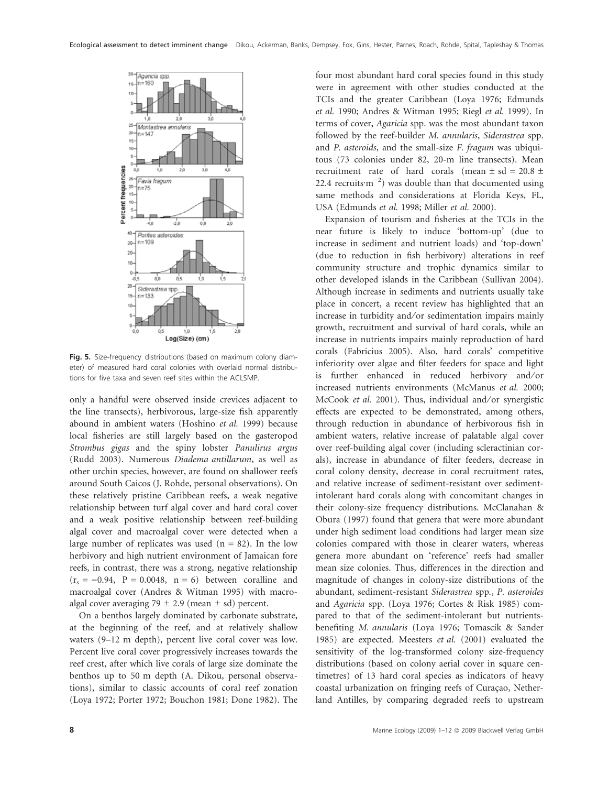

Fig. 5. Size-frequency distributions (based on maximum colony diameter) of measured hard coral colonies with overlaid normal distributions for five taxa and seven reef sites within the ACLSMP.

only a handful were observed inside crevices adjacent to the line transects), herbivorous, large-size fish apparently abound in ambient waters (Hoshino et al. 1999) because local fisheries are still largely based on the gasteropod Strombus gigas and the spiny lobster Panulirus argus (Rudd 2003). Numerous Diadema antillarum, as well as other urchin species, however, are found on shallower reefs around South Caicos (J. Rohde, personal observations). On these relatively pristine Caribbean reefs, a weak negative relationship between turf algal cover and hard coral cover and a weak positive relationship between reef-building algal cover and macroalgal cover were detected when a large number of replicates was used  $(n = 82)$ . In the low herbivory and high nutrient environment of Jamaican fore reefs, in contrast, there was a strong, negative relationship  $(r<sub>s</sub> = -0.94, P = 0.0048, n = 6)$  between coralline and macroalgal cover (Andres & Witman 1995) with macroalgal cover averaging 79  $\pm$  2.9 (mean  $\pm$  sd) percent.

On a benthos largely dominated by carbonate substrate, at the beginning of the reef, and at relatively shallow waters (9–12 m depth), percent live coral cover was low. Percent live coral cover progressively increases towards the reef crest, after which live corals of large size dominate the benthos up to 50 m depth (A. Dikou, personal observations), similar to classic accounts of coral reef zonation (Loya 1972; Porter 1972; Bouchon 1981; Done 1982). The four most abundant hard coral species found in this study were in agreement with other studies conducted at the TCIs and the greater Caribbean (Loya 1976; Edmunds et al. 1990; Andres & Witman 1995; Riegl et al. 1999). In terms of cover, Agaricia spp. was the most abundant taxon followed by the reef-builder M. annularis, Siderastrea spp. and P. asteroids, and the small-size F. fragum was ubiquitous (73 colonies under 82, 20-m line transects). Mean recruitment rate of hard corals (mean  $\pm$  sd = 20.8  $\pm$ 22.4 recruits $m^{-2}$ ) was double than that documented using same methods and considerations at Florida Keys, FL, USA (Edmunds et al. 1998; Miller et al. 2000).

Expansion of tourism and fisheries at the TCIs in the near future is likely to induce 'bottom-up' (due to increase in sediment and nutrient loads) and 'top-down' (due to reduction in fish herbivory) alterations in reef community structure and trophic dynamics similar to other developed islands in the Caribbean (Sullivan 2004). Although increase in sediments and nutrients usually take place in concert, a recent review has highlighted that an increase in turbidity and/or sedimentation impairs mainly growth, recruitment and survival of hard corals, while an increase in nutrients impairs mainly reproduction of hard corals (Fabricius 2005). Also, hard corals' competitive inferiority over algae and filter feeders for space and light is further enhanced in reduced herbivory and/or increased nutrients environments (McManus et al. 2000; McCook et al. 2001). Thus, individual and/or synergistic effects are expected to be demonstrated, among others, through reduction in abundance of herbivorous fish in ambient waters, relative increase of palatable algal cover over reef-building algal cover (including scleractinian corals), increase in abundance of filter feeders, decrease in coral colony density, decrease in coral recruitment rates, and relative increase of sediment-resistant over sedimentintolerant hard corals along with concomitant changes in their colony-size frequency distributions. McClanahan & Obura (1997) found that genera that were more abundant under high sediment load conditions had larger mean size colonies compared with those in clearer waters, whereas genera more abundant on 'reference' reefs had smaller mean size colonies. Thus, differences in the direction and magnitude of changes in colony-size distributions of the abundant, sediment-resistant Siderastrea spp., P. asteroides and Agaricia spp. (Loya 1976; Cortes & Risk 1985) compared to that of the sediment-intolerant but nutrientsbenefiting M. annularis (Loya 1976; Tomascik & Sander 1985) are expected. Meesters et al. (2001) evaluated the sensitivity of the log-transformed colony size-frequency distributions (based on colony aerial cover in square centimetres) of 13 hard coral species as indicators of heavy coastal urbanization on fringing reefs of Curaçao, Netherland Antilles, by comparing degraded reefs to upstream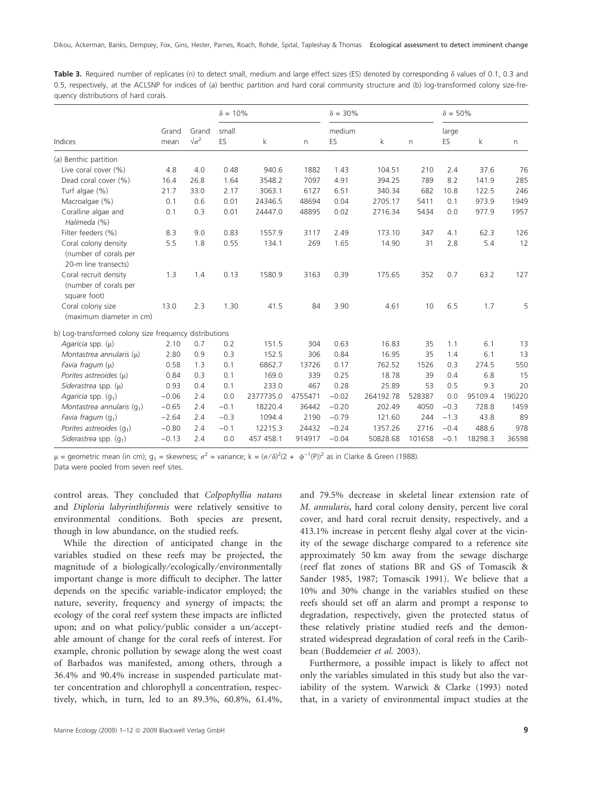Table 3. Required number of replicates (n) to detect small, medium and large effect sizes (ES) denoted by corresponding  $\delta$  values of 0.1, 0.3 and 0.5, respectively, at the ACLSNP for indices of (a) benthic partition and hard coral community structure and (b) log-transformed colony size-frequency distributions of hard corals.

|                                                                       |               |                            | $\delta = 10\%$ |             |         | $\delta = 30\%$ |           |        | $\delta = 50\%$ |         |        |
|-----------------------------------------------------------------------|---------------|----------------------------|-----------------|-------------|---------|-----------------|-----------|--------|-----------------|---------|--------|
| Indices                                                               | Grand<br>mean | Grand<br>$\sqrt{\sigma^2}$ | small<br>ES     | $\mathsf k$ | n       | medium<br>ES    | k         | n      | large<br>ES     | k       | n      |
| (a) Benthic partition                                                 |               |                            |                 |             |         |                 |           |        |                 |         |        |
| Live coral cover (%)                                                  | 4.8           | 4.0                        | 0.48            | 940.6       | 1882    | 1.43            | 104.51    | 210    | 2.4             | 37.6    | 76     |
| Dead coral cover (%)                                                  | 16.4          | 26.8                       | 1.64            | 3548.2      | 7097    | 4.91            | 394.25    | 789    | 8.2             | 141.9   | 285    |
| Turf algae (%)                                                        | 21.7          | 33.0                       | 2.17            | 3063.1      | 6127    | 6.51            | 340.34    | 682    | 10.8            | 122.5   | 246    |
| Macroalgae (%)                                                        | 0.1           | 0.6                        | 0.01            | 24346.5     | 48694   | 0.04            | 2705.17   | 5411   | 0.1             | 973.9   | 1949   |
| Coralline algae and<br>Halimeda (%)                                   | 0.1           | 0.3                        | 0.01            | 24447.0     | 48895   | 0.02            | 2716.34   | 5434   | 0.0             | 977.9   | 1957   |
| Filter feeders (%)                                                    | 8.3           | 9.0                        | 0.83            | 1557.9      | 3117    | 2.49            | 173.10    | 347    | 4.1             | 62.3    | 126    |
| Coral colony density<br>(number of corals per<br>20-m line transects) | 5.5           | 1.8                        | 0.55            | 134.1       | 269     | 1.65            | 14.90     | 31     | 2.8             | 5.4     | 12     |
| Coral recruit density<br>(number of corals per<br>square foot)        | 1.3           | 1.4                        | 0.13            | 1580.9      | 3163    | 0.39            | 175.65    | 352    | 0.7             | 63.2    | 127    |
| Coral colony size<br>(maximum diameter in cm)                         | 13.0          | 2.3                        | 1.30            | 41.5        | 84      | 3.90            | 4.61      | 10     | 6.5             | 1.7     | 5      |
| b) Log-transformed colony size frequency distributions                |               |                            |                 |             |         |                 |           |        |                 |         |        |
| Agaricia spp. $(\mu)$                                                 | 2.10          | 0.7                        | 0.2             | 151.5       | 304     | 0.63            | 16.83     | 35     | 1.1             | 6.1     | 13     |
| Montastrea annularis (µ)                                              | 2.80          | 0.9                        | 0.3             | 152.5       | 306     | 0.84            | 16.95     | 35     | 1.4             | 6.1     | 13     |
| Favia fragum $(\mu)$                                                  | 0.58          | 1.3                        | 0.1             | 6862.7      | 13726   | 0.17            | 762.52    | 1526   | 0.3             | 274.5   | 550    |
| Porites astreoides $(\mu)$                                            | 0.84          | 0.3                        | 0.1             | 169.0       | 339     | 0.25            | 18.78     | 39     | 0.4             | 6.8     | 15     |
| Siderastrea spp. $(\mu)$                                              | 0.93          | 0.4                        | 0.1             | 233.0       | 467     | 0.28            | 25.89     | 53     | 0.5             | 9.3     | 20     |
| Agaricia spp. $(q_1)$                                                 | $-0.06$       | 2.4                        | 0.0             | 2377735.0   | 4755471 | $-0.02$         | 264192.78 | 528387 | 0.0             | 95109.4 | 190220 |
| Montastrea annularis $(q_1)$                                          | $-0.65$       | 2.4                        | $-0.1$          | 18220.4     | 36442   | $-0.20$         | 202.49    | 4050   | $-0.3$          | 728.8   | 1459   |
| Favia fragum $(g_1)$                                                  | $-2.64$       | 2.4                        | $-0.3$          | 1094.4      | 2190    | $-0.79$         | 121.60    | 244    | $-1.3$          | 43.8    | 89     |
| Porites astreoides $(q_1)$                                            | $-0.80$       | 2.4                        | $-0.1$          | 12215.3     | 24432   | $-0.24$         | 1357.26   | 2716   | $-0.4$          | 488.6   | 978    |
| Siderastrea spp. $(q_1)$                                              | $-0.13$       | 2.4                        | 0.0             | 457 458.1   | 914917  | $-0.04$         | 50828.68  | 101658 | $-0.1$          | 18298.3 | 36598  |

 $\mu$  = geometric mean (in cm);  $g_1$  = skewness;  $\sigma^2$  = variance; k =  $(\sigma/\delta)^2(2 + \phi^{-1}(P))^2$  as in Clarke & Green (1988).

Data were pooled from seven reef sites.

control areas. They concluded that Colpophyllia natans and Diploria labyrinthiformis were relatively sensitive to environmental conditions. Both species are present, though in low abundance, on the studied reefs.

While the direction of anticipated change in the variables studied on these reefs may be projected, the magnitude of a biologically ⁄ ecologically ⁄ environmentally important change is more difficult to decipher. The latter depends on the specific variable-indicator employed; the nature, severity, frequency and synergy of impacts; the ecology of the coral reef system these impacts are inflicted upon; and on what policy/public consider a un/acceptable amount of change for the coral reefs of interest. For example, chronic pollution by sewage along the west coast of Barbados was manifested, among others, through a 36.4% and 90.4% increase in suspended particulate matter concentration and chlorophyll a concentration, respectively, which, in turn, led to an 89.3%, 60.8%, 61.4%, and 79.5% decrease in skeletal linear extension rate of M. annularis, hard coral colony density, percent live coral cover, and hard coral recruit density, respectively, and a 413.1% increase in percent fleshy algal cover at the vicinity of the sewage discharge compared to a reference site approximately 50 km away from the sewage discharge (reef flat zones of stations BR and GS of Tomascik & Sander 1985, 1987; Tomascik 1991). We believe that a 10% and 30% change in the variables studied on these reefs should set off an alarm and prompt a response to degradation, respectively, given the protected status of these relatively pristine studied reefs and the demonstrated widespread degradation of coral reefs in the Caribbean (Buddemeier et al. 2003).

Furthermore, a possible impact is likely to affect not only the variables simulated in this study but also the variability of the system. Warwick & Clarke (1993) noted that, in a variety of environmental impact studies at the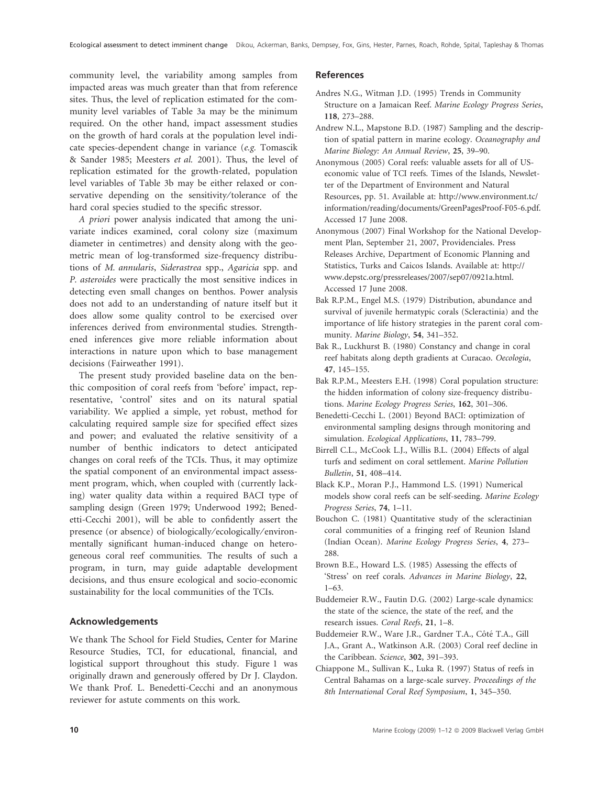community level, the variability among samples from impacted areas was much greater than that from reference sites. Thus, the level of replication estimated for the community level variables of Table 3a may be the minimum required. On the other hand, impact assessment studies on the growth of hard corals at the population level indicate species-dependent change in variance (e.g. Tomascik & Sander 1985; Meesters et al. 2001). Thus, the level of replication estimated for the growth-related, population level variables of Table 3b may be either relaxed or conservative depending on the sensitivity/tolerance of the hard coral species studied to the specific stressor.

A priori power analysis indicated that among the univariate indices examined, coral colony size (maximum diameter in centimetres) and density along with the geometric mean of log-transformed size-frequency distributions of M. annularis, Siderastrea spp., Agaricia spp. and P. asteroides were practically the most sensitive indices in detecting even small changes on benthos. Power analysis does not add to an understanding of nature itself but it does allow some quality control to be exercised over inferences derived from environmental studies. Strengthened inferences give more reliable information about interactions in nature upon which to base management decisions (Fairweather 1991).

The present study provided baseline data on the benthic composition of coral reefs from 'before' impact, representative, 'control' sites and on its natural spatial variability. We applied a simple, yet robust, method for calculating required sample size for specified effect sizes and power; and evaluated the relative sensitivity of a number of benthic indicators to detect anticipated changes on coral reefs of the TCIs. Thus, it may optimize the spatial component of an environmental impact assessment program, which, when coupled with (currently lacking) water quality data within a required BACI type of sampling design (Green 1979; Underwood 1992; Benedetti-Cecchi 2001), will be able to confidently assert the presence (or absence) of biologically ⁄ ecologically ⁄ environmentally significant human-induced change on heterogeneous coral reef communities. The results of such a program, in turn, may guide adaptable development decisions, and thus ensure ecological and socio-economic sustainability for the local communities of the TCIs.

#### Acknowledgements

We thank The School for Field Studies, Center for Marine Resource Studies, TCI, for educational, financial, and logistical support throughout this study. Figure 1 was originally drawn and generously offered by Dr J. Claydon. We thank Prof. L. Benedetti-Cecchi and an anonymous reviewer for astute comments on this work.

#### References

- Andres N.G., Witman J.D. (1995) Trends in Community Structure on a Jamaican Reef. Marine Ecology Progress Series, 118, 273–288.
- Andrew N.L., Mapstone B.D. (1987) Sampling and the description of spatial pattern in marine ecology. Oceanography and Marine Biology: An Annual Review, 25, 39–90.
- Anonymous (2005) Coral reefs: valuable assets for all of USeconomic value of TCI reefs. Times of the Islands, Newsletter of the Department of Environment and Natural Resources, pp. 51. Available at: http://www.environment.tc/ information/reading/documents/GreenPagesProof-F05-6.pdf. Accessed 17 June 2008.
- Anonymous (2007) Final Workshop for the National Development Plan, September 21, 2007, Providenciales. Press Releases Archive, Department of Economic Planning and Statistics, Turks and Caicos Islands. Available at: http:// www.depstc.org/pressreleases/2007/sep07/0921a.html. Accessed 17 June 2008.
- Bak R.P.M., Engel M.S. (1979) Distribution, abundance and survival of juvenile hermatypic corals (Scleractinia) and the importance of life history strategies in the parent coral community. Marine Biology, 54, 341–352.
- Bak R., Luckhurst B. (1980) Constancy and change in coral reef habitats along depth gradients at Curacao. Oecologia, 47, 145–155.
- Bak R.P.M., Meesters E.H. (1998) Coral population structure: the hidden information of colony size-frequency distributions. Marine Ecology Progress Series, 162, 301–306.
- Benedetti-Cecchi L. (2001) Beyond BACI: optimization of environmental sampling designs through monitoring and simulation. Ecological Applications, 11, 783–799.
- Birrell C.L., McCook L.J., Willis B.L. (2004) Effects of algal turfs and sediment on coral settlement. Marine Pollution Bulletin, 51, 408–414.
- Black K.P., Moran P.J., Hammond L.S. (1991) Numerical models show coral reefs can be self-seeding. Marine Ecology Progress Series, 74, 1–11.
- Bouchon C. (1981) Quantitative study of the scleractinian coral communities of a fringing reef of Reunion Island (Indian Ocean). Marine Ecology Progress Series, 4, 273– 288.
- Brown B.E., Howard L.S. (1985) Assessing the effects of 'Stress' on reef corals. Advances in Marine Biology, 22, 1–63.
- Buddemeier R.W., Fautin D.G. (2002) Large-scale dynamics: the state of the science, the state of the reef, and the research issues. Coral Reefs, 21, 1–8.
- Buddemeier R.W., Ware J.R., Gardner T.A., Côté T.A., Gill J.A., Grant A., Watkinson A.R. (2003) Coral reef decline in the Caribbean. Science, 302, 391–393.
- Chiappone M., Sullivan K., Luka R. (1997) Status of reefs in Central Bahamas on a large-scale survey. Proceedings of the 8th International Coral Reef Symposium, 1, 345–350.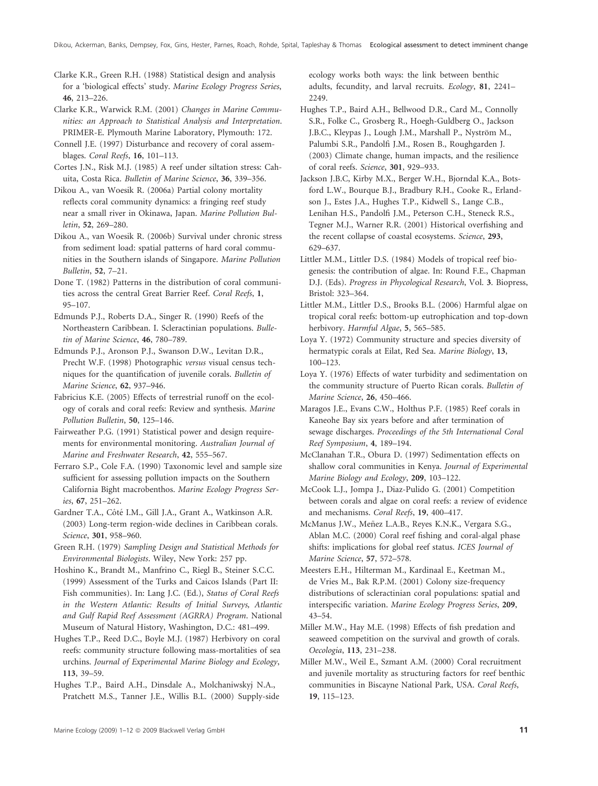Clarke K.R., Green R.H. (1988) Statistical design and analysis for a 'biological effects' study. Marine Ecology Progress Series, 46, 213–226.

Clarke K.R., Warwick R.M. (2001) Changes in Marine Communities: an Approach to Statistical Analysis and Interpretation. PRIMER-E. Plymouth Marine Laboratory, Plymouth: 172.

Connell J.E. (1997) Disturbance and recovery of coral assemblages. Coral Reefs, 16, 101–113.

Cortes J.N., Risk M.J. (1985) A reef under siltation stress: Cahuita, Costa Rica. Bulletin of Marine Science, 36, 339–356.

Dikou A., van Woesik R. (2006a) Partial colony mortality reflects coral community dynamics: a fringing reef study near a small river in Okinawa, Japan. Marine Pollution Bulletin, 52, 269–280.

Dikou A., van Woesik R. (2006b) Survival under chronic stress from sediment load: spatial patterns of hard coral communities in the Southern islands of Singapore. Marine Pollution Bulletin, 52, 7–21.

Done T. (1982) Patterns in the distribution of coral communities across the central Great Barrier Reef. Coral Reefs, 1, 95–107.

Edmunds P.J., Roberts D.A., Singer R. (1990) Reefs of the Northeastern Caribbean. I. Scleractinian populations. Bulletin of Marine Science, 46, 780–789.

Edmunds P.J., Aronson P.J., Swanson D.W., Levitan D.R., Precht W.F. (1998) Photographic versus visual census techniques for the quantification of juvenile corals. Bulletin of Marine Science, 62, 937–946.

Fabricius K.E. (2005) Effects of terrestrial runoff on the ecology of corals and coral reefs: Review and synthesis. Marine Pollution Bulletin, 50, 125–146.

Fairweather P.G. (1991) Statistical power and design requirements for environmental monitoring. Australian Journal of Marine and Freshwater Research, 42, 555–567.

Ferraro S.P., Cole F.A. (1990) Taxonomic level and sample size sufficient for assessing pollution impacts on the Southern California Bight macrobenthos. Marine Ecology Progress Series, 67, 251–262.

Gardner T.A., Côté I.M., Gill J.A., Grant A., Watkinson A.R. (2003) Long-term region-wide declines in Caribbean corals. Science, 301, 958–960.

Green R.H. (1979) Sampling Design and Statistical Methods for Environmental Biologists. Wiley, New York: 257 pp.

Hoshino K., Brandt M., Manfrino C., Riegl B., Steiner S.C.C. (1999) Assessment of the Turks and Caicos Islands (Part II: Fish communities). In: Lang J.C. (Ed.), Status of Coral Reefs in the Western Atlantic: Results of Initial Surveys, Atlantic and Gulf Rapid Reef Assessment (AGRRA) Program. National Museum of Natural History, Washington, D.C.: 481–499.

Hughes T.P., Reed D.C., Boyle M.J. (1987) Herbivory on coral reefs: community structure following mass-mortalities of sea urchins. Journal of Experimental Marine Biology and Ecology, 113, 39–59.

Hughes T.P., Baird A.H., Dinsdale A., Molchaniwskyj N.A., Pratchett M.S., Tanner J.E., Willis B.L. (2000) Supply-side

ecology works both ways: the link between benthic adults, fecundity, and larval recruits. Ecology, 81, 2241– 2249.

Hughes T.P., Baird A.H., Bellwood D.R., Card M., Connolly S.R., Folke C., Grosberg R., Hoegh-Guldberg O., Jackson J.B.C., Kleypas J., Lough J.M., Marshall P., Nyström M., Palumbi S.R., Pandolfi J.M., Rosen B., Roughgarden J. (2003) Climate change, human impacts, and the resilience of coral reefs. Science, 301, 929–933.

Jackson J.B.C, Kirby M.X., Berger W.H., Bjorndal K.A., Botsford L.W., Bourque B.J., Bradbury R.H., Cooke R., Erlandson J., Estes J.A., Hughes T.P., Kidwell S., Lange C.B., Lenihan H.S., Pandolfi J.M., Peterson C.H., Steneck R.S., Tegner M.J., Warner R.R. (2001) Historical overfishing and the recent collapse of coastal ecosystems. Science, 293, 629–637.

Littler M.M., Littler D.S. (1984) Models of tropical reef biogenesis: the contribution of algae. In: Round F.E., Chapman D.J. (Eds). Progress in Phycological Research, Vol. 3. Biopress, Bristol: 323–364.

Littler M.M., Littler D.S., Brooks B.L. (2006) Harmful algae on tropical coral reefs: bottom-up eutrophication and top-down herbivory. Harmful Algae, 5, 565–585.

Loya Y. (1972) Community structure and species diversity of hermatypic corals at Eilat, Red Sea. Marine Biology, 13, 100–123.

Loya Y. (1976) Effects of water turbidity and sedimentation on the community structure of Puerto Rican corals. Bulletin of Marine Science, 26, 450–466.

Maragos J.E., Evans C.W., Holthus P.F. (1985) Reef corals in Kaneohe Bay six years before and after termination of sewage discharges. Proceedings of the 5th International Coral Reef Symposium, 4, 189–194.

McClanahan T.R., Obura D. (1997) Sedimentation effects on shallow coral communities in Kenya. Journal of Experimental Marine Biology and Ecology, 209, 103–122.

McCook L.J., Jompa J., Diaz-Pulido G. (2001) Competition between corals and algae on coral reefs: a review of evidence and mechanisms. Coral Reefs, 19, 400–417.

McManus J.W., Meñez L.A.B., Reyes K.N.K., Vergara S.G., Ablan M.C. (2000) Coral reef fishing and coral-algal phase shifts: implications for global reef status. ICES Journal of Marine Science, 57, 572–578.

Meesters E.H., Hilterman M., Kardinaal E., Keetman M., de Vries M., Bak R.P.M. (2001) Colony size-frequency distributions of scleractinian coral populations: spatial and interspecific variation. Marine Ecology Progress Series, 209, 43–54.

Miller M.W., Hay M.E. (1998) Effects of fish predation and seaweed competition on the survival and growth of corals. Oecologia, 113, 231–238.

Miller M.W., Weil E., Szmant A.M. (2000) Coral recruitment and juvenile mortality as structuring factors for reef benthic communities in Biscayne National Park, USA. Coral Reefs, 19, 115–123.